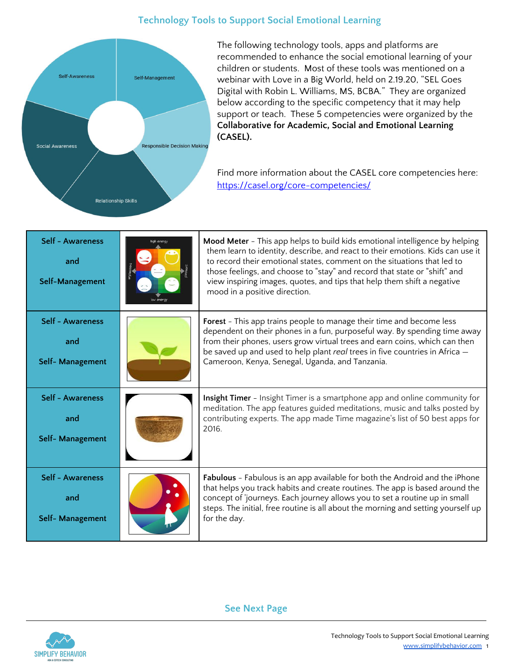## **Technology Tools to Support Social Emotional Learning**



The following technology tools, apps and platforms are recommended to enhance the social emotional learning of your children or students. Most of these tools was mentioned on a webinar with Love in a Big World, held on 2.19.20, "SEL Goes Digital with Robin L. Williams, MS, BCBA." They are organized below according to the specific competency that it may help support or teach. These 5 competencies were organized by the **Collaborative for Academic, Social and Emotional Learning (CASEL).**

Find more information about the CASEL core competencies here: <https://casel.org/core-competencies/>

| Self - Awareness<br>and<br>Self-Management         | Mood Meter - This app helps to build kids emotional intelligence by helping<br>them learn to identity, describe, and react to their emotions. Kids can use it<br>to record their emotional states, comment on the situations that led to<br>those feelings, and choose to "stay" and record that state or "shift" and<br>view inspiring images, quotes, and tips that help them shift a negative<br>mood in a positive direction. |
|----------------------------------------------------|-----------------------------------------------------------------------------------------------------------------------------------------------------------------------------------------------------------------------------------------------------------------------------------------------------------------------------------------------------------------------------------------------------------------------------------|
| Self - Awareness<br>and<br>Self- Management        | <b>Forest</b> - This app trains people to manage their time and become less<br>dependent on their phones in a fun, purposeful way. By spending time away<br>from their phones, users grow virtual trees and earn coins, which can then<br>be saved up and used to help plant real trees in five countries in Africa -<br>Cameroon, Kenya, Senegal, Uganda, and Tanzania.                                                          |
| <b>Self - Awareness</b><br>and<br>Self- Management | Insight Timer - Insight Timer is a smartphone app and online community for<br>meditation. The app features guided meditations, music and talks posted by<br>contributing experts. The app made Time magazine's list of 50 best apps for<br>2016.                                                                                                                                                                                  |
| Self - Awareness<br>and<br>Self- Management        | Fabulous - Fabulous is an app available for both the Android and the iPhone<br>that helps you track habits and create routines. The app is based around the<br>concept of 'journeys. Each journey allows you to set a routine up in small<br>steps. The initial, free routine is all about the morning and setting yourself up<br>for the day.                                                                                    |

**See Next Page**